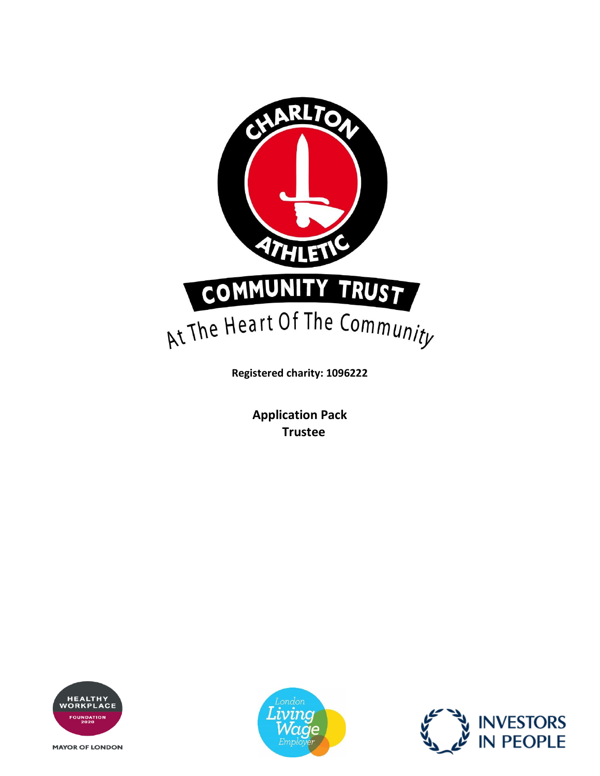

**Registered charity: 1096222**

**Application Pack Trustee**



**MAYOR OF LONDON** 



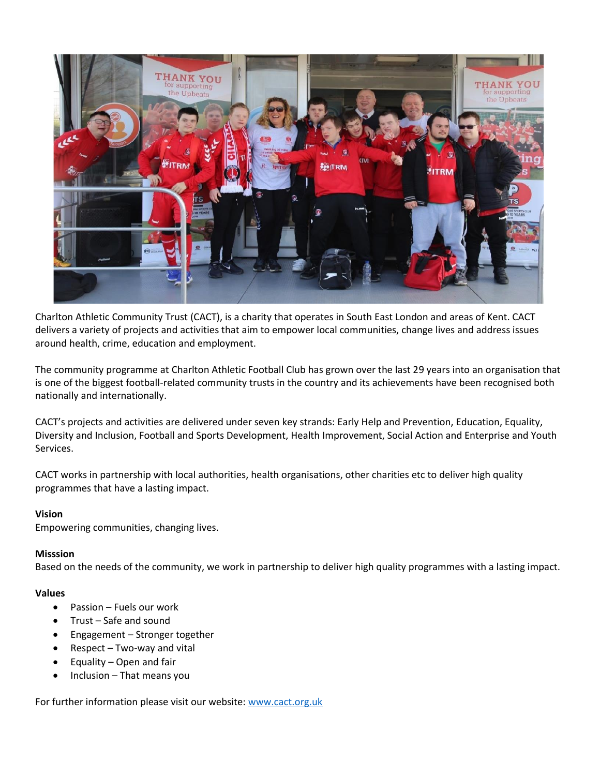

Charlton Athletic Community Trust (CACT), is a charity that operates in South East London and areas of Kent. CACT delivers a variety of projects and activities that aim to empower local communities, change lives and address issues around health, crime, education and employment.

The community programme at Charlton Athletic Football Club has grown over the last 29 years into an organisation that is one of the biggest football-related community trusts in the country and its achievements have been recognised both nationally and internationally.

CACT's projects and activities are delivered under seven key strands: Early Help and Prevention, Education, Equality, Diversity and Inclusion, Football and Sports Development, Health Improvement, Social Action and Enterprise and Youth Services.

CACT works in partnership with local authorities, health organisations, other charities etc to deliver high quality programmes that have a lasting impact.

### **Vision**

Empowering communities, changing lives.

#### **Misssion**

Based on the needs of the community, we work in partnership to deliver high quality programmes with a lasting impact.

#### **Values**

- Passion Fuels our work
- Trust Safe and sound
- Engagement Stronger together
- Respect Two-way and vital
- Equality Open and fair
- Inclusion That means you

For further information please visit our website: [www.cact.org.uk](http://www.cact.org.uk/)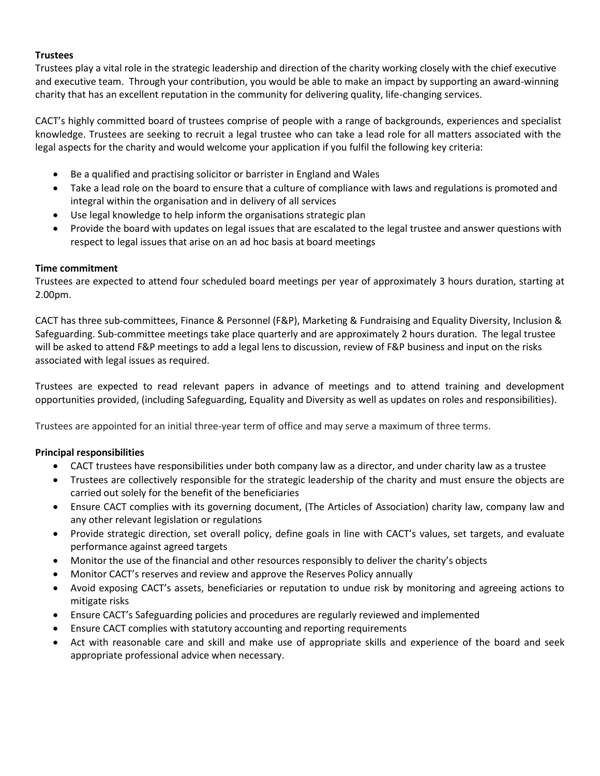## **Trustees**

Trustees play a vital role in the strategic leadership and direction of the charity working closely with the chief executive and executive team. Through your contribution, you would be able to make an impact by supporting an award-winning charity that has an excellent reputation in the community for delivering quality, life-changing services.

CACT's highly committed board of trustees comprise of people with a range of backgrounds, experiences and specialist knowledge. Trustees are seeking to recruit a legal trustee who can take a lead role for all matters associated with the legal aspects for the charity and would welcome your application if you fulfil the following key criteria:

- Be a qualified and practising solicitor or barrister in England and Wales
- Take a lead role on the board to ensure that a culture of compliance with laws and regulations is promoted and integral within the organisation and in delivery of all services
- Use legal knowledge to help inform the organisations strategic plan
- Provide the board with updates on legal issues that are escalated to the legal trustee and answer questions with respect to legal issues that arise on an ad hoc basis at board meetings

## **Time commitment**

Trustees are expected to attend four scheduled board meetings per year of approximately 3 hours duration, starting at 2.00pm.

CACT has three sub-committees, Finance & Personnel (F&P), Marketing & Fundraising and Equality Diversity, Inclusion & Safeguarding. Sub-committee meetings take place quarterly and are approximately 2 hours duration. The legal trustee will be asked to attend F&P meetings to add a legal lens to discussion, review of F&P business and input on the risks associated with legal issues as required.

Trustees are expected to read relevant papers in advance of meetings and to attend training and development opportunities provided, (including Safeguarding, Equality and Diversity as well as updates on roles and responsibilities).

Trustees are appointed for an initial three-year term of office and may serve a maximum of three terms.

# **Principal responsibilities**

- CACT trustees have responsibilities under both company law as a director, and under charity law as a trustee
- Trustees are collectively responsible for the strategic leadership of the charity and must ensure the objects are carried out solely for the benefit of the beneficiaries
- Ensure CACT complies with its governing document, (The Articles of Association) charity law, company law and any other relevant legislation or regulations
- Provide strategic direction, set overall policy, define goals in line with CACT's values, set targets, and evaluate performance against agreed targets
- Monitor the use of the financial and other resources responsibly to deliver the charity's objects
- Monitor CACT's reserves and review and approve the Reserves Policy annually
- Avoid exposing CACT's assets, beneficiaries or reputation to undue risk by monitoring and agreeing actions to mitigate risks
- Ensure CACT's Safeguarding policies and procedures are regularly reviewed and implemented
- Ensure CACT complies with statutory accounting and reporting requirements
- Act with reasonable care and skill and make use of appropriate skills and experience of the board and seek appropriate professional advice when necessary.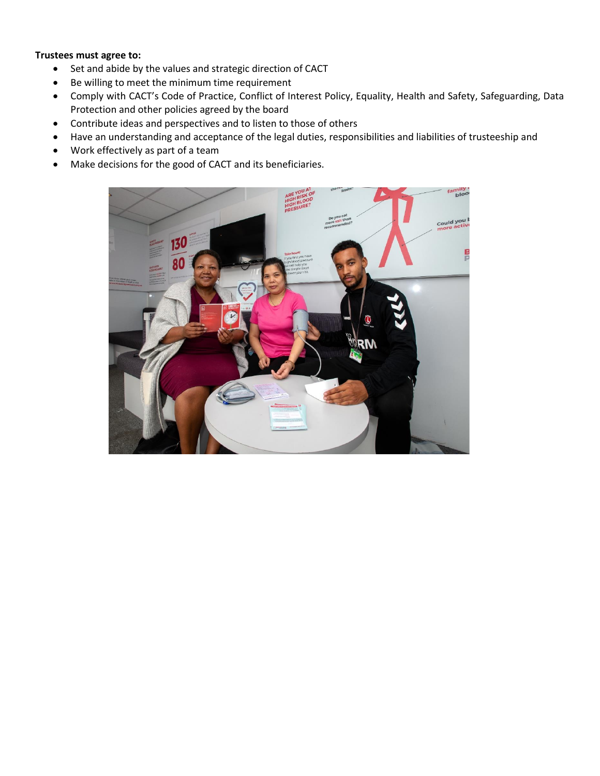### **Trustees must agree to:**

- Set and abide by the values and strategic direction of CACT
- Be willing to meet the minimum time requirement
- Comply with CACT's Code of Practice, Conflict of Interest Policy, Equality, Health and Safety, Safeguarding, Data Protection and other policies agreed by the board
- Contribute ideas and perspectives and to listen to those of others
- Have an understanding and acceptance of the legal duties, responsibilities and liabilities of trusteeship and
- Work effectively as part of a team
- Make decisions for the good of CACT and its beneficiaries.